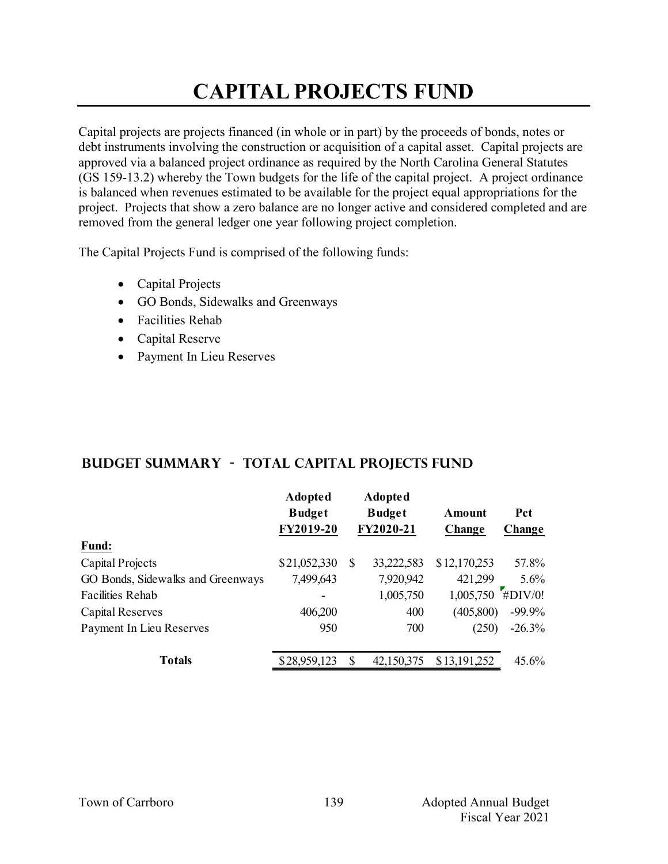# **CAPITAL PROJECTS FUND**

Capital projects are projects financed (in whole or in part) by the proceeds of bonds, notes or debt instruments involving the construction or acquisition of a capital asset. Capital projects are approved via a balanced project ordinance as required by the North Carolina General Statutes (GS 159-13.2) whereby the Town budgets for the life of the capital project. A project ordinance is balanced when revenues estimated to be available for the project equal appropriations for the project. Projects that show a zero balance are no longer active and considered completed and are removed from the general ledger one year following project completion.

The Capital Projects Fund is comprised of the following funds:

- Capital Projects
- GO Bonds, Sidewalks and Greenways
- Facilities Rehab
- Capital Reserve
- Payment In Lieu Reserves

### **Budget Summary - Total CAPITAL PROJECTS FUND**

|                                   | <b>Adopted</b><br><b>Budget</b><br>FY2019-20 |   | <b>Adopted</b><br><b>Budget</b><br>FY2020-21 | Amount<br>Change | <b>Pct</b><br>Change |
|-----------------------------------|----------------------------------------------|---|----------------------------------------------|------------------|----------------------|
| <b>Fund:</b>                      |                                              |   |                                              |                  |                      |
| Capital Projects                  | \$21,052,330                                 | S | 33,222,583                                   | \$12,170,253     | 57.8%                |
| GO Bonds, Sidewalks and Greenways | 7,499,643                                    |   | 7,920,942                                    | 421,299          | 5.6%                 |
| <b>Facilities Rehab</b>           |                                              |   | 1,005,750                                    | 1,005,750        | #DIV/0!              |
| Capital Reserves                  | 406,200                                      |   | 400                                          | (405,800)        | $-99.9\%$            |
| Payment In Lieu Reserves          | 950                                          |   | 700                                          | (250)            | $-26.3%$             |
| <b>Totals</b>                     | \$28,959,123                                 | S | 42,150,375                                   | \$13,191,252     | $45.6\%$             |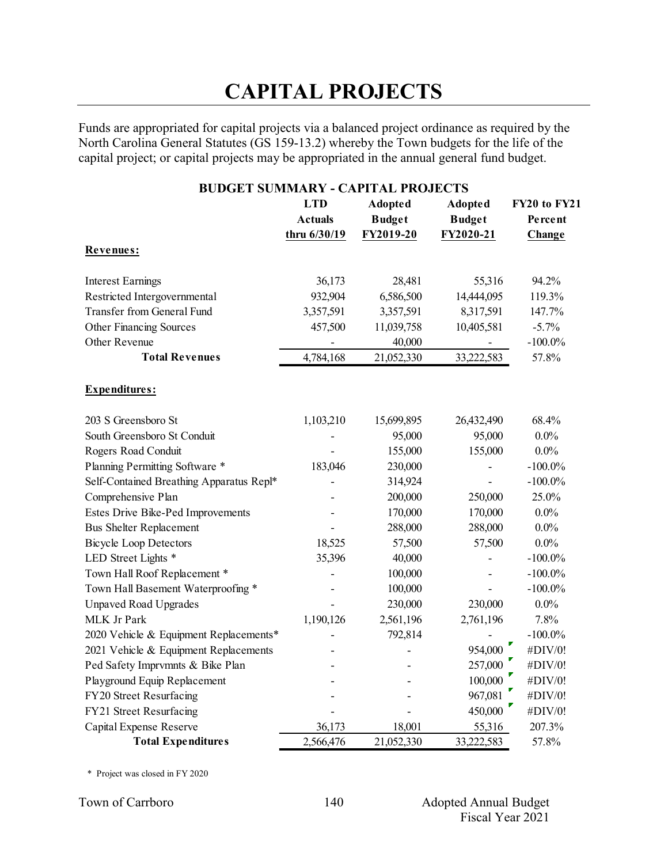# **CAPITAL PROJECTS**

Funds are appropriated for capital projects via a balanced project ordinance as required by the North Carolina General Statutes (GS 159-13.2) whereby the Town budgets for the life of the capital project; or capital projects may be appropriated in the annual general fund budget.

### **BUDGET SUMMARY - CAPITAL PROJECTS LTD Adopted Adopted FY20 to FY21 Actuals Budget Budget Percent thru 6/30/19 FY2019-20 FY2020-21 Change Revenues:** Interest Earnings 36,173 28,481 55,316 94.2% Restricted Intergovernmental 932,904 6,586,500 14,444,095 119.3% Transfer from General Fund 3,357,591 3,357,591 8,317,591 147.7% Other Financing Sources 457,500 11,039,758 10,405,581 -5.7% Other Revenue **100.0%** - 40,000 - 100.0% **Total Revenues** 4,784,168 21,052,330 33,222,583 57.8% **Expenditures:** 203 S Greensboro St 1,103,210 15,699,895 26,432,490 68.4% South Greensboro St Conduit  $95,000$  95,000 0.0% Rogers Road Conduit  $155,000$  155,000 0.0% Planning Permitting Software \* 183,046 230,000 - 100.0% Self-Contained Breathing Apparatus Repl<sup>\*</sup> - 314,924 - -100.0% Comprehensive Plan  $200,000$   $250,000$   $25.0\%$ Estes Drive Bike-Ped Improvements - 170,000 170,000 0.0% Bus Shelter Replacement - 288,000 288,000 0.0% Bicycle Loop Detectors 18,525 57,500 57,500 0.0% LED Street Lights \* 35,396 40,000 - 100.0% Town Hall Roof Replacement \*  $100,000$  -  $-100.0\%$ Town Hall Basement Waterproofing \* The contract of the contract of the 100,000 contract to  $100.0\%$ Unpaved Road Upgrades - 230,000 230,000 0.0% MLK Jr Park 1,190,126 2,561,196 2,761,196 7.8% 2020 Vehicle & Equipment Replacements\* 1992,814 - 100.0% 2021 Vehicle & Equipment Replacements - - 954,000 #DIV/0! Ped Safety Imprvmnts & Bike Plan - 257,000  $\uparrow$  #DIV/0!<br>
Playground Equip Replacement - 100,000  $\uparrow$  #DIV/0! Playground Equip Replacement - 100,000 #DIV/0!<br>FY20 Street Resurfacing - 967,081 #DIV/0! FY20 Street Resurfacing The contract of the street Resurfacing the street of the street Resurfacing the street  $967,081$  #DIV/0! FY21 Street Resurfacing  $450,000$   $#$  DIV/0! Capital Expense Reserve  $36,173$  18,001 55,316 207.3% **Total Expenditures** 2,566,476 21,052,330 33,222,583 57.8%

\* Project was closed in FY 2020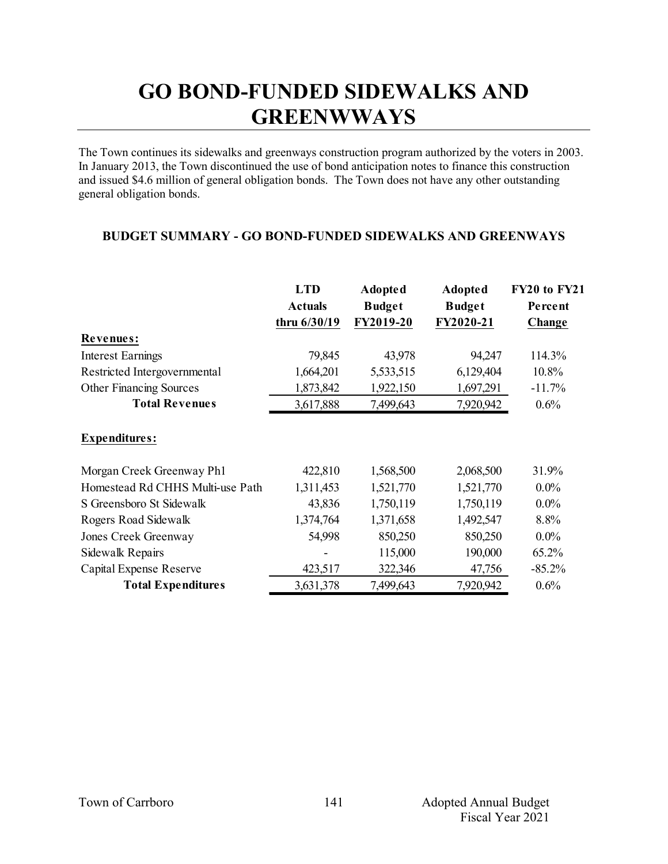## **GO BOND-FUNDED SIDEWALKS AND GREENWWAYS**

The Town continues its sidewalks and greenways construction program authorized by the voters in 2003. In January 2013, the Town discontinued the use of bond anticipation notes to finance this construction and issued \$4.6 million of general obligation bonds. The Town does not have any other outstanding general obligation bonds.

### **BUDGET SUMMARY - GO BOND-FUNDED SIDEWALKS AND GREENWAYS**

|                                  | <b>LTD</b>     | <b>Adopted</b> | <b>Adopted</b> | FY20 to FY21 |
|----------------------------------|----------------|----------------|----------------|--------------|
|                                  | <b>Actuals</b> | <b>Budget</b>  | <b>Budget</b>  | Percent      |
|                                  | thru 6/30/19   | FY2019-20      | FY2020-21      | Change       |
| Revenues:                        |                |                |                |              |
| <b>Interest Earnings</b>         | 79,845         | 43,978         | 94,247         | 114.3%       |
| Restricted Intergovernmental     | 1,664,201      | 5,533,515      | 6,129,404      | 10.8%        |
| <b>Other Financing Sources</b>   | 1,873,842      | 1,922,150      | 1,697,291      | $-11.7%$     |
| <b>Total Revenues</b>            | 3,617,888      | 7,499,643      | 7,920,942      | 0.6%         |
| <b>Expenditures:</b>             |                |                |                |              |
| Morgan Creek Greenway Ph1        | 422,810        | 1,568,500      | 2,068,500      | 31.9%        |
| Homestead Rd CHHS Multi-use Path | 1,311,453      | 1,521,770      | 1,521,770      | $0.0\%$      |
| S Greensboro St Sidewalk         | 43,836         | 1,750,119      | 1,750,119      | $0.0\%$      |
| Rogers Road Sidewalk             | 1,374,764      | 1,371,658      | 1,492,547      | 8.8%         |
| Jones Creek Greenway             | 54,998         | 850,250        | 850,250        | $0.0\%$      |
| Sidewalk Repairs                 |                | 115,000        | 190,000        | 65.2%        |
| Capital Expense Reserve          | 423,517        | 322,346        | 47,756         | $-85.2%$     |
| <b>Total Expenditures</b>        | 3,631,378      | 7,499,643      | 7,920,942      | 0.6%         |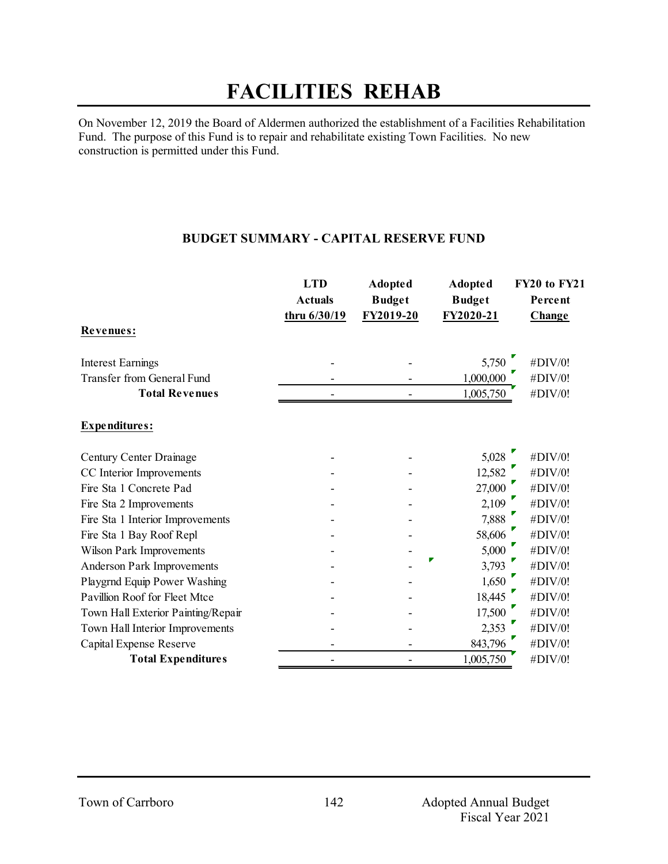## **FACILITIES REHAB**

On November 12, 2019 the Board of Aldermen authorized the establishment of a Facilities Rehabilitation Fund. The purpose of this Fund is to repair and rehabilitate existing Town Facilities. No new construction is permitted under this Fund.

#### **BUDGET SUMMARY - CAPITAL RESERVE FUND**

|                                    | <b>LTD</b>     | <b>Adopted</b> | <b>Adopted</b> | FY20 to FY21 |
|------------------------------------|----------------|----------------|----------------|--------------|
|                                    | <b>Actuals</b> | <b>Budget</b>  | <b>Budget</b>  | Percent      |
|                                    | thru 6/30/19   | FY2019-20      | FY2020-21      | Change       |
| Revenues:                          |                |                |                |              |
| <b>Interest Earnings</b>           |                |                | 5,750          | #DIV/0!      |
| <b>Transfer from General Fund</b>  |                |                | 1,000,000      | #DIV/0!      |
| <b>Total Revenues</b>              |                |                | 1,005,750      | #DIV/0!      |
| Expenditures:                      |                |                |                |              |
| Century Center Drainage            |                |                | 5,028          | #DIV/0!      |
| CC Interior Improvements           |                |                | 12,582         | #DIV/0!      |
| Fire Sta 1 Concrete Pad            |                |                | 27,000         | #DIV/0!      |
| Fire Sta 2 Improvements            |                |                | 2,109          | #DIV/0!      |
| Fire Sta 1 Interior Improvements   |                |                | 7,888          | #DIV/0!      |
| Fire Sta 1 Bay Roof Repl           |                |                | 58,606         | #DIV/0!      |
| <b>Wilson Park Improvements</b>    |                |                | 5,000          | #DIV/0!      |
| <b>Anderson Park Improvements</b>  |                |                | 3,793          | #DIV/0!      |
| Playgrnd Equip Power Washing       |                |                | 1,650          | #DIV/0!      |
| Pavillion Roof for Fleet Mtce      |                |                | 18,445         | #DIV/0!      |
| Town Hall Exterior Painting/Repair |                |                | 17,500         | #DIV/0!      |
| Town Hall Interior Improvements    |                |                | 2,353          | #DIV/0!      |
| Capital Expense Reserve            |                |                | 843,796        | #DIV/0!      |
| <b>Total Expenditures</b>          |                |                | 1,005,750      | #DIV/0!      |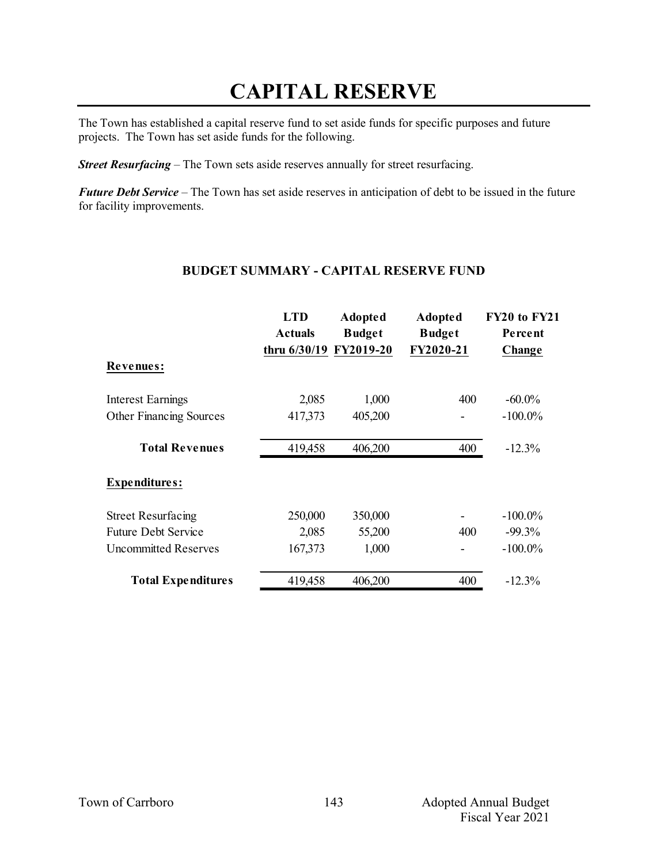## **CAPITAL RESERVE**

The Town has established a capital reserve fund to set aside funds for specific purposes and future projects. The Town has set aside funds for the following.

*Street Resurfacing* – The Town sets aside reserves annually for street resurfacing.

*Future Debt Service* – The Town has set aside reserves in anticipation of debt to be issued in the future for facility improvements.

#### **BUDGET SUMMARY - CAPITAL RESERVE FUND**

|                             | <b>LTD</b><br><b>Actuals</b><br>thru 6/30/19 FY2019-20 | <b>Adopted</b><br><b>Budget</b> | Adopted<br><b>Budget</b><br>FY2020-21 | FY20 to FY21<br>Percent |
|-----------------------------|--------------------------------------------------------|---------------------------------|---------------------------------------|-------------------------|
| Revenues:                   |                                                        |                                 |                                       | <b>Change</b>           |
| Interest Earnings           | 2,085                                                  | 1,000                           | 400                                   | $-60.0\%$               |
| Other Financing Sources     | 417,373                                                | 405,200                         |                                       | $-100.0\%$              |
| <b>Total Revenues</b>       | 419,458                                                | 406,200                         | 400                                   | $-12.3%$                |
| <b>Expenditures:</b>        |                                                        |                                 |                                       |                         |
| <b>Street Resurfacing</b>   | 250,000                                                | 350,000                         |                                       | $-100.0\%$              |
| <b>Future Debt Service</b>  | 2,085                                                  | 55,200                          | 400                                   | $-99.3\%$               |
| <b>Uncommitted Reserves</b> | 167,373                                                | 1,000                           |                                       | $-100.0\%$              |
| <b>Total Expenditures</b>   | 419,458                                                | 406,200                         | 400                                   | $-12.3%$                |